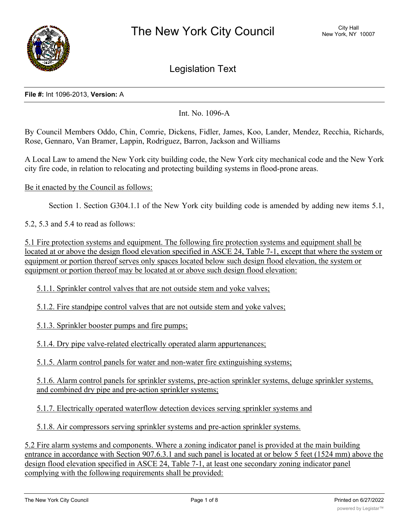

Legislation Text

### **File #:** Int 1096-2013, **Version:** A

Int. No. 1096-A

By Council Members Oddo, Chin, Comrie, Dickens, Fidler, James, Koo, Lander, Mendez, Recchia, Richards, Rose, Gennaro, Van Bramer, Lappin, Rodriguez, Barron, Jackson and Williams

A Local Law to amend the New York city building code, the New York city mechanical code and the New York city fire code, in relation to relocating and protecting building systems in flood-prone areas.

Be it enacted by the Council as follows:

Section 1. Section G304.1.1 of the New York city building code is amended by adding new items 5.1,

5.2, 5.3 and 5.4 to read as follows:

5.1 Fire protection systems and equipment. The following fire protection systems and equipment shall be located at or above the design flood elevation specified in ASCE 24, Table 7-1, except that where the system or equipment or portion thereof serves only spaces located below such design flood elevation, the system or equipment or portion thereof may be located at or above such design flood elevation:

5.1.1. Sprinkler control valves that are not outside stem and yoke valves;

5.1.2. Fire standpipe control valves that are not outside stem and yoke valves;

5.1.3. Sprinkler booster pumps and fire pumps;

5.1.4. Dry pipe valve-related electrically operated alarm appurtenances;

5.1.5. Alarm control panels for water and non-water fire extinguishing systems;

5.1.6. Alarm control panels for sprinkler systems, pre-action sprinkler systems, deluge sprinkler systems, and combined dry pipe and pre-action sprinkler systems;

5.1.7. Electrically operated waterflow detection devices serving sprinkler systems and

5.1.8. Air compressors serving sprinkler systems and pre-action sprinkler systems.

5.2 Fire alarm systems and components. Where a zoning indicator panel is provided at the main building entrance in accordance with Section 907.6.3.1 and such panel is located at or below 5 feet (1524 mm) above the design flood elevation specified in ASCE 24, Table 7-1, at least one secondary zoning indicator panel complying with the following requirements shall be provided: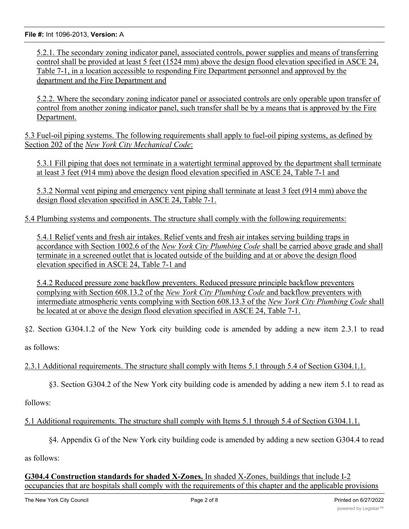5.2.1. The secondary zoning indicator panel, associated controls, power supplies and means of transferring control shall be provided at least 5 feet (1524 mm) above the design flood elevation specified in ASCE 24, Table 7-1, in a location accessible to responding Fire Department personnel and approved by the department and the Fire Department and

5.2.2. Where the secondary zoning indicator panel or associated controls are only operable upon transfer of control from another zoning indicator panel, such transfer shall be by a means that is approved by the Fire Department.

5.3 Fuel-oil piping systems. The following requirements shall apply to fuel-oil piping systems, as defined by Section 202 of the *New York City Mechanical Code*:

5.3.1 Fill piping that does not terminate in a watertight terminal approved by the department shall terminate at least 3 feet (914 mm) above the design flood elevation specified in ASCE 24, Table 7-1 and

5.3.2 Normal vent piping and emergency vent piping shall terminate at least 3 feet (914 mm) above the design flood elevation specified in ASCE 24, Table 7-1.

5.4 Plumbing systems and components. The structure shall comply with the following requirements:

5.4.1 Relief vents and fresh air intakes. Relief vents and fresh air intakes serving building traps in accordance with Section 1002.6 of the *New York City Plumbing Code* shall be carried above grade and shall terminate in a screened outlet that is located outside of the building and at or above the design flood elevation specified in ASCE 24, Table 7-1 and

5.4.2 Reduced pressure zone backflow preventers. Reduced pressure principle backflow preventers complying with Section 608.13.2 of the *New York City Plumbing Code* and backflow preventers with intermediate atmospheric vents complying with Section 608.13.3 of the *New York City Plumbing Code* shall be located at or above the design flood elevation specified in ASCE 24, Table 7-1.

§2. Section G304.1.2 of the New York city building code is amended by adding a new item 2.3.1 to read

as follows:

2.3.1 Additional requirements. The structure shall comply with Items 5.1 through 5.4 of Section G304.1.1.

§3. Section G304.2 of the New York city building code is amended by adding a new item 5.1 to read as

follows:

# 5.1 Additional requirements. The structure shall comply with Items 5.1 through 5.4 of Section G304.1.1.

§4. Appendix G of the New York city building code is amended by adding a new section G304.4 to read

as follows:

# **G304.4 Construction standards for shaded X-Zones.** In shaded X-Zones, buildings that include I-2 occupancies that are hospitals shall comply with the requirements of this chapter and the applicable provisions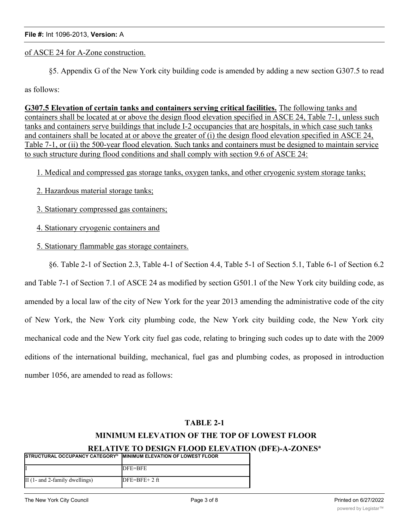of ASCE 24 for A-Zone construction.

§5. Appendix G of the New York city building code is amended by adding a new section G307.5 to read

as follows:

**G307.5 Elevation of certain tanks and containers serving critical facilities.** The following tanks and containers shall be located at or above the design flood elevation specified in ASCE 24, Table 7-1, unless such tanks and containers serve buildings that include I-2 occupancies that are hospitals, in which case such tanks and containers shall be located at or above the greater of (i) the design flood elevation specified in ASCE 24, Table 7-1, or (ii) the 500-year flood elevation. Such tanks and containers must be designed to maintain service to such structure during flood conditions and shall comply with section 9.6 of ASCE 24:

1. Medical and compressed gas storage tanks, oxygen tanks, and other cryogenic system storage tanks;

- 2. Hazardous material storage tanks;
- 3. Stationary compressed gas containers;
- 4. Stationary cryogenic containers and
- 5. Stationary flammable gas storage containers.

§6. Table 2-1 of Section 2.3, Table 4-1 of Section 4.4, Table 5-1 of Section 5.1, Table 6-1 of Section 6.2 and Table 7-1 of Section 7.1 of ASCE 24 as modified by section G501.1 of the New York city building code, as amended by a local law of the city of New York for the year 2013 amending the administrative code of the city of New York, the New York city plumbing code, the New York city building code, the New York city mechanical code and the New York city fuel gas code, relating to bringing such codes up to date with the 2009 editions of the international building, mechanical, fuel gas and plumbing codes, as proposed in introduction number 1056, are amended to read as follows:

# **TABLE 2-1**

# **MINIMUM ELEVATION OF THE TOP OF LOWEST FLOOR**

### **RELATIVE TO DESIGN FLOOD ELEVATION (DFE)-A-ZONESa**

| <b>ISTRUCTURAL OCCUPANCY CATEGORY</b> <sup>b</sup> | <b>IMINIMUM ELEVATION OF LOWEST FLOOR</b> |
|----------------------------------------------------|-------------------------------------------|
|                                                    | DFE=BFE                                   |
| II $(1-$ and 2-family dwellings)                   | $DFE=BFE+2$ ft                            |

II., d (all others) DFE=BFE+ 1 ft (all others) DFE+ 1 ft (all others) DFE+ 1 ft (all others)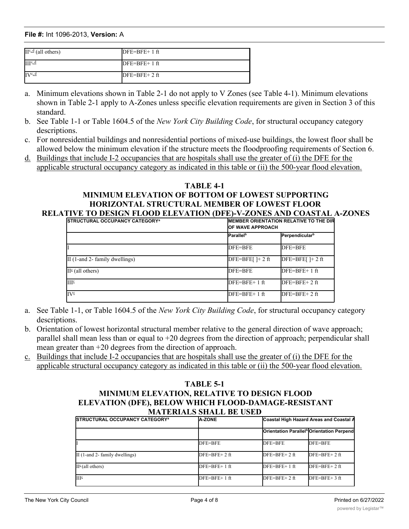#### **File #:** Int 1096-2013, **Version:** A I DFE=BFE II (1- and 2-family dwellings) DFE=BFE+ 2 ft and 2-family dwellings) DFE=BFE+ 2 ft and 2-ft and 2-ft and 2-ft and

| $II^{c,d}$ (all others) | $DFE=BFE+1$ ft |
|-------------------------|----------------|
| III <sup>c</sup>        | $DFE=BFE+1$ ft |
| $IV^{c,d}$              | $DFE=BFE+2ft$  |

- a. Minimum elevations shown in Table 2-1 do not apply to V Zones (see Table 4-1). Minimum elevations shown in Table 2-1 apply to A-Zones unless specific elevation requirements are given in Section 3 of this standard.
- b. See Table 1-1 or Table 1604.5 of the *New York City Building Code*, for structural occupancy category descriptions.
- c. For nonresidential buildings and nonresidential portions of mixed-use buildings, the lowest floor shall be allowed below the minimum elevation if the structure meets the floodproofing requirements of Section 6.
- d. Buildings that include I-2 occupancies that are hospitals shall use the greater of (i) the DFE for the applicable structural occupancy category as indicated in this table or (ii) the 500-year flood elevation.

## **TABLE 4-1 MINIMUM ELEVATION OF BOTTOM OF LOWEST SUPPORTING HORIZONTAL STRUCTURAL MEMBER OF LOWEST FLOOR RELATIVE TO DESIGN FLOOD ELEVATION (DFE)-V-ZONES AND COASTAL A-ZONES**

| <b>ISTRUCTURAL OCCUPANCY CATEGORY<sup>a</sup></b> |                              | <b>IMEMBER ORIENTATION RELATIVE TO THE DIR</b><br><b>OF WAVE APPROACH</b> |  |  |
|---------------------------------------------------|------------------------------|---------------------------------------------------------------------------|--|--|
|                                                   | <b>Parallel</b> <sup>b</sup> | Perpendicular <sup>b</sup>                                                |  |  |
|                                                   | DFE=BFE                      | DFE=BFE                                                                   |  |  |
| $\text{II}$ (1-and 2- family dwellings)           | $DFE=BFE[$ $]+ 2$ ft         | DFE=BFE $\left[ \right]$ + 2 ft                                           |  |  |
| $\Pi^{\mathcal{Q}}$ (all others)                  | DFE=BFE                      | $DFE = BFE + 1 ft$                                                        |  |  |
| III <sup>2</sup>                                  | DFE=BFE+ 1 ft                | $DFE=BFE+2$ ft                                                            |  |  |
| $IV^{\circ}$                                      | $DFE = BFE + 1 ft$           | $DFE=BFE+2ft$                                                             |  |  |

- a. See Table 1-1, or Table 1604.5 of the *New York City Building Code*, for structural occupancy category descriptions.
- b. Orientation of lowest horizontal structural member relative to the general direction of wave approach; parallel shall mean less than or equal to +20 degrees from the direction of approach; perpendicular shall mean greater than +20 degrees from the direction of approach.
- c. Buildings that include I-2 occupancies that are hospitals shall use the greater of (i) the DFE for the applicable structural occupancy category as indicated in this table or (ii) the 500-year flood elevation.

# **TABLE 5-1 MINIMUM ELEVATION, RELATIVE TO DESIGN FLOOD ELEVATION (DFE), BELOW WHICH FLOOD-DAMAGE-RESISTANT MATERIALS SHALL BE USED**

| <b>ISTRUCTURAL OCCUPANCY CATEGORY<sup>a</sup></b> | <b>A-ZONE</b>  | Coastal High Hazard Areas and Coastal A |                                                       |
|---------------------------------------------------|----------------|-----------------------------------------|-------------------------------------------------------|
|                                                   |                |                                         | Orientation Parallel <sup>b</sup> Orientation Perpend |
|                                                   | DFE=BFE        | DFE=BFE                                 | DFE=BFE                                               |
| $\text{II}$ (1-and 2- family dwellings)           | $DFE=BFE+2ft$  | $DFE=BFE+2ft$                           | $DFE=BFE+2ft$                                         |
| $II^{\epsilon}$ (all others)                      | $DFE=BFE+1$ ft | $DFE=BFE+1ft$                           | $DFE=BFE+2ft$                                         |
| III <sup>2</sup>                                  | $DFE=BFE+1$ ft | $DFE=BFE+2ft$                           | $DFE=BFE+3ft$                                         |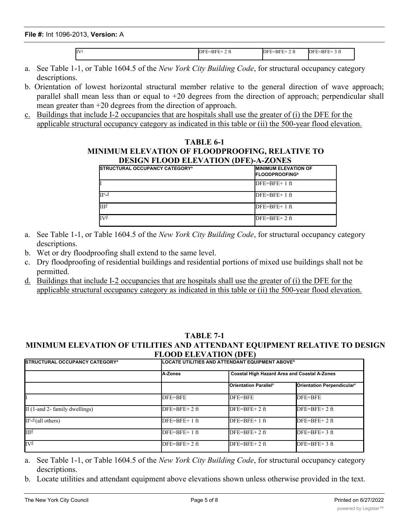**File #:** Int 1096-2013, **Version:** A In the set of the best decomposition  $\mathcal{L}_{\mathcal{A}}$  for  $\mathcal{L}_{\mathcal{A}}$  for  $\mathcal{L}_{\mathcal{A}}$  for  $\mathcal{L}_{\mathcal{A}}$ In the set of the best decomposition  $\mathcal{L}_{\mathcal{F}}$  for  $\mathcal{L}_{\mathcal{F}}$  for  $\mathcal{L}_{\mathcal{F}}$  for  $\mathcal{L}_{\mathcal{F}}$  for  $\mathcal{L}_{\mathcal{F}}$ 

 $DFE=BFE+ 2 ft$  DFE=BFE+ 2 ft DFE=BFE+ 3 ft

- a. See Table 1-1, or Table 1604.5 of the *New York City Building Code*, for structural occupancy category descriptions.
- b. Orientation of lowest horizontal structural member relative to the general direction of wave approach; parallel shall mean less than or equal to +20 degrees from the direction of approach; perpendicular shall mean greater than +20 degrees from the direction of approach.
- c. Buildings that include I-2 occupancies that are hospitals shall use the greater of (i) the DFE for the applicable structural occupancy category as indicated in this table or (ii) the 500-year flood elevation.

### **TABLE 6-1 MINIMUM ELEVATION OF FLOODPROOFING, RELATIVE TO DESIGN FLOOD ELEVATION (DFE)-A-ZONES**

| <b>ISTRUCTURAL OCCUPANCY CATEGORY<sup>a</sup></b> | <b>IMINIMUM ELEVATION OF</b><br><b>IFLOODPROOFING</b> <sup>b</sup> |
|---------------------------------------------------|--------------------------------------------------------------------|
|                                                   | $DFE=BFE+1$ ft                                                     |
| $\Pi^{\text{c},\text{d}}$                         | $DFE=BFE+1$ ft                                                     |
| III <sup>d</sup>                                  | $DFE=BFE+1$ ft                                                     |
| IV₫                                               | $DFE=BFE+2ft$                                                      |

- a. See Table 1-1, or Table 1604.5 of the *New York City Building Code*, for structural occupancy category descriptions.
- b. Wet or dry floodproofing shall extend to the same level.
- c. Dry floodproofing of residential buildings and residential portions of mixed use buildings shall not be permitted.
- d. Buildings that include I-2 occupancies that are hospitals shall use the greater of (i) the DFE for the applicable structural occupancy category as indicated in this table or (ii) the 500-year flood elevation.

### **TABLE 7-1 MINIMUM ELEVATION OF UTILITIES AND ATTENDANT EQUIPMENT RELATIVE TO DESIGN FLOOD ELEVATION (DFE)**

| <b>ISTRUCTURAL OCCUPANCY CATEGORY<sup>a</sup></b> |                | LOCATE UTILITIES AND ATTENDANT EQUIPMENT ABOVE <sup>b</sup> |                                        |  |  |
|---------------------------------------------------|----------------|-------------------------------------------------------------|----------------------------------------|--|--|
|                                                   | A-Zones        | <b>Coastal High Hazard Area and Coastal A-Zones</b>         |                                        |  |  |
|                                                   |                | <b>Orientation Parallel<sup>c</sup></b>                     | Orientation Perpendicular <sup>c</sup> |  |  |
|                                                   | DFE=BFE        | DFE=BFE                                                     | DFE=BFE                                |  |  |
| $\text{II}$ (1-and 2- family dwellings)           | $DFE=BFE+2ft$  | $DFE=BFE+2ft$                                               | $DFE=BFE+2ft$                          |  |  |
| $II^{c,d}$ (all others)                           | $DFE=BFE+1$ ft | $DFE=BFE+1$ ft                                              | $DFE=BFE+2ft$                          |  |  |
| $III^{\underline{d}}$                             | $DFE=BFE+1$ ft | $DFE=BFE+2$ ft                                              | $DFE=BFE+3$ ft                         |  |  |
| $IV^{\underline{d}}$                              | $DFE=BFE+2$ ft | $DFE=BFE+2$ ft                                              | $DFE=BFE+3$ ft                         |  |  |

- a. See Table 1-1, or Table 1604.5 of the *New York City Building Code*, for structural occupancy category descriptions.
- b. Locate utilities and attendant equipment above elevations shown unless otherwise provided in the text.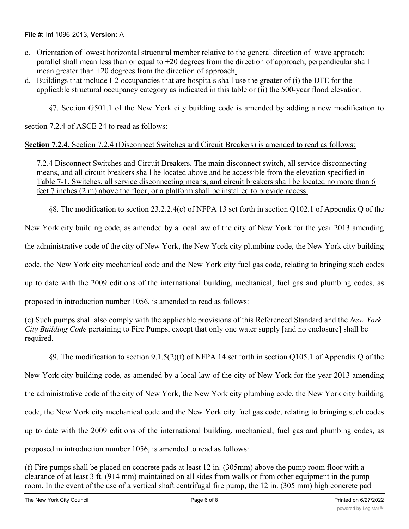### **File #:** Int 1096-2013, **Version:** A

- c. Orientation of lowest horizontal structural member relative to the general direction of wave approach; parallel shall mean less than or equal to +20 degrees from the direction of approach; perpendicular shall mean greater than +20 degrees from the direction of approach.
- d. Buildings that include I-2 occupancies that are hospitals shall use the greater of (i) the DFE for the applicable structural occupancy category as indicated in this table or (ii) the 500-year flood elevation.

§7. Section G501.1 of the New York city building code is amended by adding a new modification to

section 7.2.4 of ASCE 24 to read as follows:

**Section 7.2.4.** Section 7.2.4 (Disconnect Switches and Circuit Breakers) is amended to read as follows:

7.2.4 Disconnect Switches and Circuit Breakers. The main disconnect switch, all service disconnecting means, and all circuit breakers shall be located above and be accessible from the elevation specified in Table 7-1. Switches, all service disconnecting means, and circuit breakers shall be located no more than 6 feet 7 inches (2 m) above the floor, or a platform shall be installed to provide access.

§8. The modification to section 23.2.2.4(c) of NFPA 13 set forth in section Q102.1 of Appendix Q of the

New York city building code, as amended by a local law of the city of New York for the year 2013 amending

the administrative code of the city of New York, the New York city plumbing code, the New York city building

code, the New York city mechanical code and the New York city fuel gas code, relating to bringing such codes

up to date with the 2009 editions of the international building, mechanical, fuel gas and plumbing codes, as

proposed in introduction number 1056, is amended to read as follows:

(c) Such pumps shall also comply with the applicable provisions of this Referenced Standard and the *New York City Building Code* pertaining to Fire Pumps, except that only one water supply [and no enclosure] shall be required.

§9. The modification to section 9.1.5(2)(f) of NFPA 14 set forth in section Q105.1 of Appendix Q of the New York city building code, as amended by a local law of the city of New York for the year 2013 amending the administrative code of the city of New York, the New York city plumbing code, the New York city building code, the New York city mechanical code and the New York city fuel gas code, relating to bringing such codes up to date with the 2009 editions of the international building, mechanical, fuel gas and plumbing codes, as proposed in introduction number 1056, is amended to read as follows:

(f) Fire pumps shall be placed on concrete pads at least 12 in. (305mm) above the pump room floor with a clearance of at least 3 ft. (914 mm) maintained on all sides from walls or from other equipment in the pump room. In the event of the use of a vertical shaft centrifugal fire pump, the 12 in. (305 mm) high concrete pad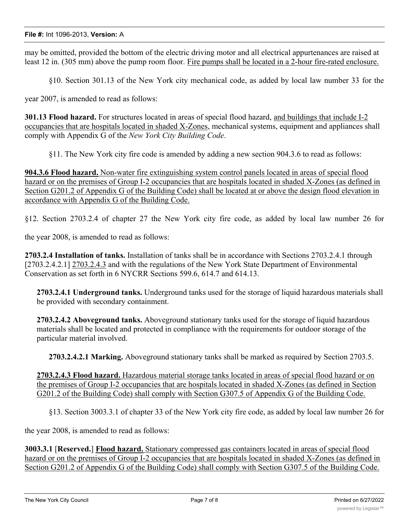may be omitted, provided the bottom of the electric driving motor and all electrical appurtenances are raised at least 12 in. (305 mm) above the pump room floor. Fire pumps shall be located in a 2-hour fire-rated enclosure.

§10. Section 301.13 of the New York city mechanical code, as added by local law number 33 for the

year 2007, is amended to read as follows:

**301.13 Flood hazard.** For structures located in areas of special flood hazard, and buildings that include I-2 occupancies that are hospitals located in shaded X-Zones, mechanical systems, equipment and appliances shall comply with Appendix G of the *New York City Building Code*.

§11. The New York city fire code is amended by adding a new section 904.3.6 to read as follows:

**904.3.6 Flood hazard.** Non-water fire extinguishing system control panels located in areas of special flood hazard or on the premises of Group I-2 occupancies that are hospitals located in shaded X-Zones (as defined in Section G201.2 of Appendix G of the Building Code) shall be located at or above the design flood elevation in accordance with Appendix G of the Building Code.

§12. Section 2703.2.4 of chapter 27 the New York city fire code, as added by local law number 26 for

the year 2008, is amended to read as follows:

**2703.2.4 Installation of tanks.** Installation of tanks shall be in accordance with Sections 2703.2.4.1 through [2703.2.4.2.1] 2703.2.4.3 and with the regulations of the New York State Department of Environmental Conservation as set forth in 6 NYCRR Sections 599.6, 614.7 and 614.13.

**2703.2.4.1 Underground tanks.** Underground tanks used for the storage of liquid hazardous materials shall be provided with secondary containment.

**2703.2.4.2 Aboveground tanks.** Aboveground stationary tanks used for the storage of liquid hazardous materials shall be located and protected in compliance with the requirements for outdoor storage of the particular material involved.

**2703.2.4.2.1 Marking.** Aboveground stationary tanks shall be marked as required by Section 2703.5.

**2703.2.4.3 Flood hazard.** Hazardous material storage tanks located in areas of special flood hazard or on the premises of Group I-2 occupancies that are hospitals located in shaded X-Zones (as defined in Section G201.2 of the Building Code) shall comply with Section G307.5 of Appendix G of the Building Code.

§13. Section 3003.3.1 of chapter 33 of the New York city fire code, as added by local law number 26 for

the year 2008, is amended to read as follows:

**3003.3.1** [**Reserved.**] **Flood hazard.** Stationary compressed gas containers located in areas of special flood hazard or on the premises of Group I-2 occupancies that are hospitals located in shaded X-Zones (as defined in Section G201.2 of Appendix G of the Building Code) shall comply with Section G307.5 of the Building Code.